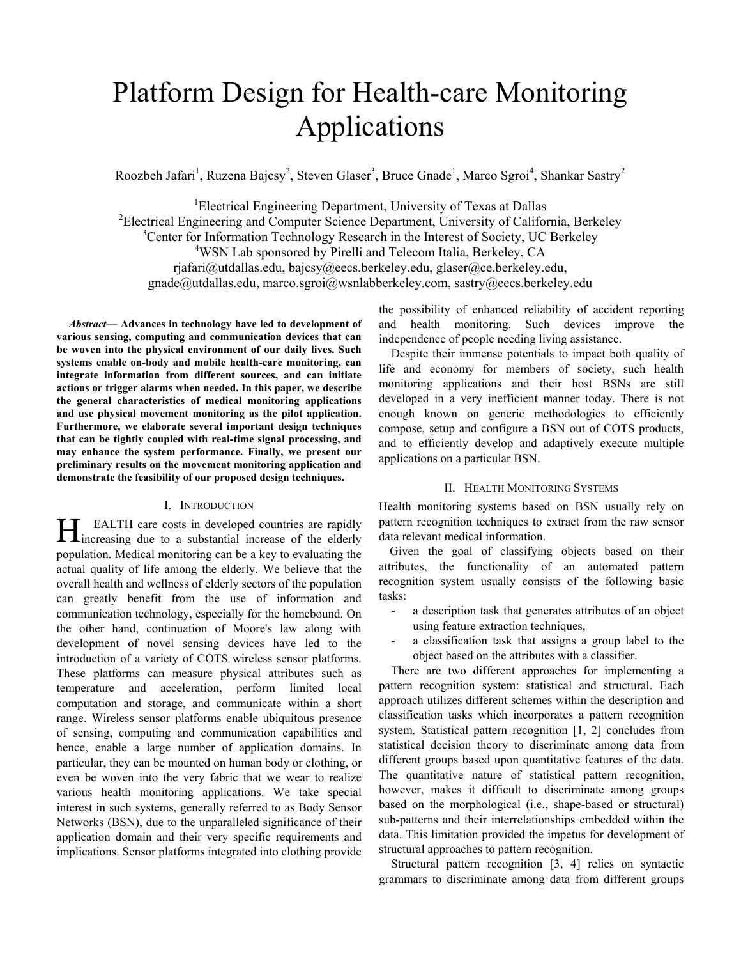# Platform Design for Health-care Monitoring Applications

Roozbeh Jafari<sup>1</sup>, Ruzena Bajcsy<sup>2</sup>, Steven Glaser<sup>3</sup>, Bruce Gnade<sup>1</sup>, Marco Sgroi<sup>4</sup>, Shankar Sastry<sup>2</sup>

<sup>1</sup>Electrical Engineering Department, University of Texas at Dallas <sup>2</sup>Electrical Engineering and Computer Science Department, University of California, Berkeley <sup>3</sup> Center for Information Technology Research in the Interest of Society, UC Berkeley 4 WSN Lab sponsored by Pirelli and Telecom Italia, Berkeley, CA rjafari@utdallas.edu, bajcsy@eecs.berkeley.edu, glaser@ce.berkeley.edu, gnade@utdallas.edu, marco.sgroi@wsnlabberkeley.com, sastry@eecs.berkeley.edu

*Abstract***— Advances in technology have led to development of various sensing, computing and communication devices that can be woven into the physical environment of our daily lives. Such systems enable on-body and mobile health-care monitoring, can integrate information from different sources, and can initiate actions or trigger alarms when needed. In this paper, we describe the general characteristics of medical monitoring applications and use physical movement monitoring as the pilot application. Furthermore, we elaborate several important design techniques that can be tightly coupled with real-time signal processing, and may enhance the system performance. Finally, we present our preliminary results on the movement monitoring application and demonstrate the feasibility of our proposed design techniques.** 

## I. INTRODUCTION

EALTH care costs in developed countries are rapidly H EALTH care costs in developed countries are rapidly increasing due to a substantial increase of the elderly population. Medical monitoring can be a key to evaluating the actual quality of life among the elderly. We believe that the overall health and wellness of elderly sectors of the population can greatly benefit from the use of information and communication technology, especially for the homebound. On the other hand, continuation of Moore's law along with development of novel sensing devices have led to the introduction of a variety of COTS wireless sensor platforms. These platforms can measure physical attributes such as temperature and acceleration, perform limited local computation and storage, and communicate within a short range. Wireless sensor platforms enable ubiquitous presence of sensing, computing and communication capabilities and hence, enable a large number of application domains. In particular, they can be mounted on human body or clothing, or even be woven into the very fabric that we wear to realize various health monitoring applications. We take special interest in such systems, generally referred to as Body Sensor Networks (BSN), due to the unparalleled significance of their application domain and their very specific requirements and implications. Sensor platforms integrated into clothing provide

the possibility of enhanced reliability of accident reporting and health monitoring. Such devices improve the independence of people needing living assistance.

Despite their immense potentials to impact both quality of life and economy for members of society, such health monitoring applications and their host BSNs are still developed in a very inefficient manner today. There is not enough known on generic methodologies to efficiently compose, setup and configure a BSN out of COTS products, and to efficiently develop and adaptively execute multiple applications on a particular BSN.

## II. HEALTH MONITORING SYSTEMS

Health monitoring systems based on BSN usually rely on pattern recognition techniques to extract from the raw sensor data relevant medical information.

Given the goal of classifying objects based on their attributes, the functionality of an automated pattern recognition system usually consists of the following basic tasks:

- a description task that generates attributes of an object using feature extraction techniques,
- a classification task that assigns a group label to the object based on the attributes with a classifier.

There are two different approaches for implementing a pattern recognition system: statistical and structural. Each approach utilizes different schemes within the description and classification tasks which incorporates a pattern recognition system. Statistical pattern recognition [1, 2] concludes from statistical decision theory to discriminate among data from different groups based upon quantitative features of the data. The quantitative nature of statistical pattern recognition, however, makes it difficult to discriminate among groups based on the morphological (i.e., shape-based or structural) sub-patterns and their interrelationships embedded within the data. This limitation provided the impetus for development of structural approaches to pattern recognition.

Structural pattern recognition [3, 4] relies on syntactic grammars to discriminate among data from different groups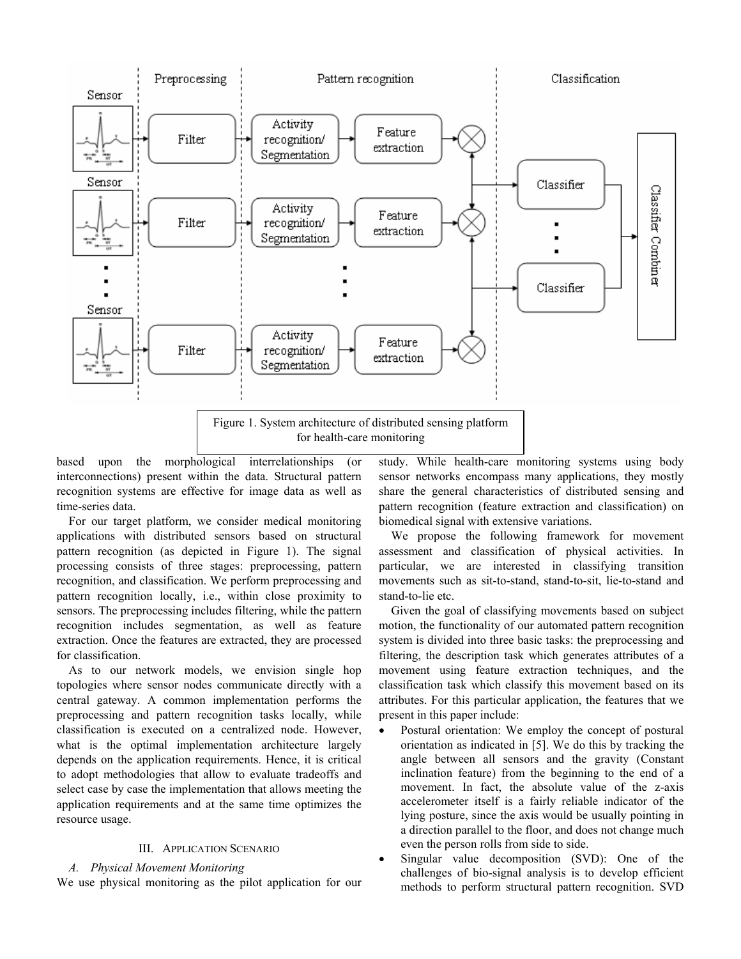

based upon the morphological interrelationships (or interconnections) present within the data. Structural pattern recognition systems are effective for image data as well as time-series data.

For our target platform, we consider medical monitoring applications with distributed sensors based on structural pattern recognition (as depicted in Figure 1). The signal processing consists of three stages: preprocessing, pattern recognition, and classification. We perform preprocessing and pattern recognition locally, i.e., within close proximity to sensors. The preprocessing includes filtering, while the pattern recognition includes segmentation, as well as feature extraction. Once the features are extracted, they are processed for classification.

As to our network models, we envision single hop topologies where sensor nodes communicate directly with a central gateway. A common implementation performs the preprocessing and pattern recognition tasks locally, while classification is executed on a centralized node. However, what is the optimal implementation architecture largely depends on the application requirements. Hence, it is critical to adopt methodologies that allow to evaluate tradeoffs and select case by case the implementation that allows meeting the application requirements and at the same time optimizes the resource usage.

## III. APPLICATION SCENARIO

#### *A. Physical Movement Monitoring*

We use physical monitoring as the pilot application for our

study. While health-care monitoring systems using body sensor networks encompass many applications, they mostly share the general characteristics of distributed sensing and pattern recognition (feature extraction and classification) on biomedical signal with extensive variations.

We propose the following framework for movement assessment and classification of physical activities. In particular, we are interested in classifying transition movements such as sit-to-stand, stand-to-sit, lie-to-stand and stand-to-lie etc.

Given the goal of classifying movements based on subject motion, the functionality of our automated pattern recognition system is divided into three basic tasks: the preprocessing and filtering, the description task which generates attributes of a movement using feature extraction techniques, and the classification task which classify this movement based on its attributes. For this particular application, the features that we present in this paper include:

- Postural orientation: We employ the concept of postural orientation as indicated in [5]. We do this by tracking the angle between all sensors and the gravity (Constant inclination feature) from the beginning to the end of a movement. In fact, the absolute value of the z-axis accelerometer itself is a fairly reliable indicator of the lying posture, since the axis would be usually pointing in a direction parallel to the floor, and does not change much even the person rolls from side to side.
- Singular value decomposition (SVD): One of the challenges of bio-signal analysis is to develop efficient methods to perform structural pattern recognition. SVD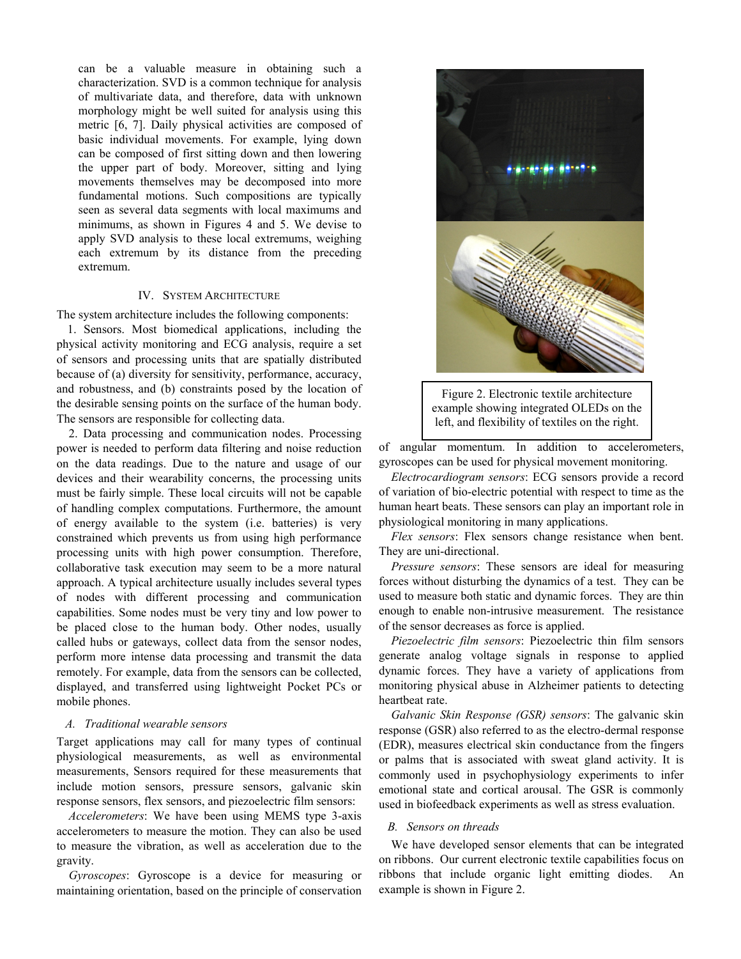can be a valuable measure in obtaining such a characterization. SVD is a common technique for analysis of multivariate data, and therefore, data with unknown morphology might be well suited for analysis using this metric [6, 7]. Daily physical activities are composed of basic individual movements. For example, lying down can be composed of first sitting down and then lowering the upper part of body. Moreover, sitting and lying movements themselves may be decomposed into more fundamental motions. Such compositions are typically seen as several data segments with local maximums and minimums, as shown in Figures 4 and 5. We devise to apply SVD analysis to these local extremums, weighing each extremum by its distance from the preceding extremum.

#### IV. SYSTEM ARCHITECTURE

The system architecture includes the following components:

1. Sensors. Most biomedical applications, including the physical activity monitoring and ECG analysis, require a set of sensors and processing units that are spatially distributed because of (a) diversity for sensitivity, performance, accuracy, and robustness, and (b) constraints posed by the location of the desirable sensing points on the surface of the human body. The sensors are responsible for collecting data.

2. Data processing and communication nodes. Processing power is needed to perform data filtering and noise reduction on the data readings. Due to the nature and usage of our devices and their wearability concerns, the processing units must be fairly simple. These local circuits will not be capable of handling complex computations. Furthermore, the amount of energy available to the system (i.e. batteries) is very constrained which prevents us from using high performance processing units with high power consumption. Therefore, collaborative task execution may seem to be a more natural approach. A typical architecture usually includes several types of nodes with different processing and communication capabilities. Some nodes must be very tiny and low power to be placed close to the human body. Other nodes, usually called hubs or gateways, collect data from the sensor nodes, perform more intense data processing and transmit the data remotely. For example, data from the sensors can be collected, displayed, and transferred using lightweight Pocket PCs or mobile phones.

#### *A. Traditional wearable sensors*

Target applications may call for many types of continual physiological measurements, as well as environmental measurements, Sensors required for these measurements that include motion sensors, pressure sensors, galvanic skin response sensors, flex sensors, and piezoelectric film sensors:

*Accelerometers*: We have been using MEMS type 3-axis accelerometers to measure the motion. They can also be used to measure the vibration, as well as acceleration due to the gravity.

*Gyroscopes*: Gyroscope is a device for measuring or maintaining orientation, based on the principle of conservation



Figure 2. Electronic textile architecture example showing integrated OLEDs on the left, and flexibility of textiles on the right.

of angular momentum. In addition to accelerometers, gyroscopes can be used for physical movement monitoring.

*Electrocardiogram sensors*: ECG sensors provide a record of variation of bio-electric potential with respect to time as the human heart beats. These sensors can play an important role in physiological monitoring in many applications.

*Flex sensors*: Flex sensors change resistance when bent. They are uni-directional.

*Pressure sensors*: These sensors are ideal for measuring forces without disturbing the dynamics of a test. They can be used to measure both static and dynamic forces. They are thin enough to enable non-intrusive measurement. The resistance of the sensor decreases as force is applied.

*Piezoelectric film sensors*: Piezoelectric thin film sensors generate analog voltage signals in response to applied dynamic forces. They have a variety of applications from monitoring physical abuse in Alzheimer patients to detecting heartbeat rate.

*Galvanic Skin Response (GSR) sensors*: The galvanic skin response (GSR) also referred to as the electro-dermal response (EDR), measures electrical skin conductance from the fingers or palms that is associated with sweat gland activity. It is commonly used in psychophysiology experiments to infer emotional state and cortical arousal. The GSR is commonly used in biofeedback experiments as well as stress evaluation.

#### *B. Sensors on threads*

We have developed sensor elements that can be integrated on ribbons. Our current electronic textile capabilities focus on ribbons that include organic light emitting diodes. An example is shown in Figure 2.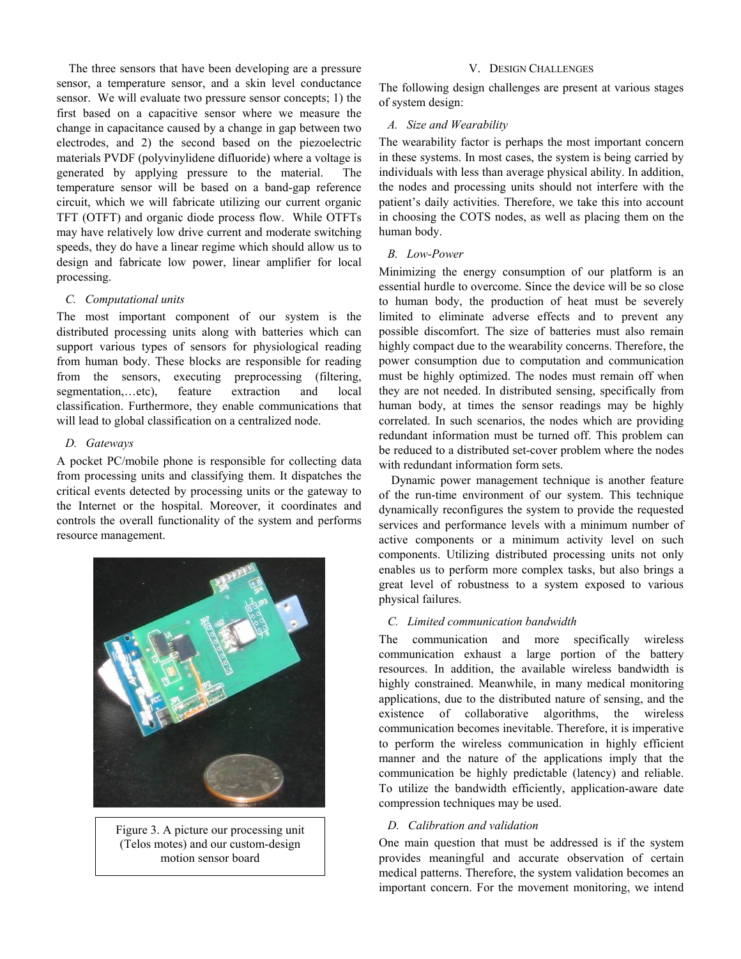The three sensors that have been developing are a pressure sensor, a temperature sensor, and a skin level conductance sensor. We will evaluate two pressure sensor concepts; 1) the first based on a capacitive sensor where we measure the change in capacitance caused by a change in gap between two electrodes, and 2) the second based on the piezoelectric materials PVDF (polyvinylidene difluoride) where a voltage is generated by applying pressure to the material. The temperature sensor will be based on a band-gap reference circuit, which we will fabricate utilizing our current organic TFT (OTFT) and organic diode process flow. While OTFTs may have relatively low drive current and moderate switching speeds, they do have a linear regime which should allow us to design and fabricate low power, linear amplifier for local processing.

## *C. Computational units*

The most important component of our system is the distributed processing units along with batteries which can support various types of sensors for physiological reading from human body. These blocks are responsible for reading from the sensors, executing preprocessing (filtering, segmentation,…etc), feature extraction and local classification. Furthermore, they enable communications that will lead to global classification on a centralized node.

## *D. Gateways*

A pocket PC/mobile phone is responsible for collecting data from processing units and classifying them. It dispatches the critical events detected by processing units or the gateway to the Internet or the hospital. Moreover, it coordinates and controls the overall functionality of the system and performs resource management.



Figure 3. A picture our processing unit (Telos motes) and our custom-design motion sensor board

## V. DESIGN CHALLENGES

The following design challenges are present at various stages of system design:

## *A. Size and Wearability*

The wearability factor is perhaps the most important concern in these systems. In most cases, the system is being carried by individuals with less than average physical ability. In addition, the nodes and processing units should not interfere with the patient's daily activities. Therefore, we take this into account in choosing the COTS nodes, as well as placing them on the human body.

## *B. Low-Power*

Minimizing the energy consumption of our platform is an essential hurdle to overcome. Since the device will be so close to human body, the production of heat must be severely limited to eliminate adverse effects and to prevent any possible discomfort. The size of batteries must also remain highly compact due to the wearability concerns. Therefore, the power consumption due to computation and communication must be highly optimized. The nodes must remain off when they are not needed. In distributed sensing, specifically from human body, at times the sensor readings may be highly correlated. In such scenarios, the nodes which are providing redundant information must be turned off. This problem can be reduced to a distributed set-cover problem where the nodes with redundant information form sets.

Dynamic power management technique is another feature of the run-time environment of our system. This technique dynamically reconfigures the system to provide the requested services and performance levels with a minimum number of active components or a minimum activity level on such components. Utilizing distributed processing units not only enables us to perform more complex tasks, but also brings a great level of robustness to a system exposed to various physical failures.

## *C. Limited communication bandwidth*

The communication and more specifically wireless communication exhaust a large portion of the battery resources. In addition, the available wireless bandwidth is highly constrained. Meanwhile, in many medical monitoring applications, due to the distributed nature of sensing, and the existence of collaborative algorithms, the wireless communication becomes inevitable. Therefore, it is imperative to perform the wireless communication in highly efficient manner and the nature of the applications imply that the communication be highly predictable (latency) and reliable. To utilize the bandwidth efficiently, application-aware date compression techniques may be used.

## *D. Calibration and validation*

One main question that must be addressed is if the system provides meaningful and accurate observation of certain medical patterns. Therefore, the system validation becomes an important concern. For the movement monitoring, we intend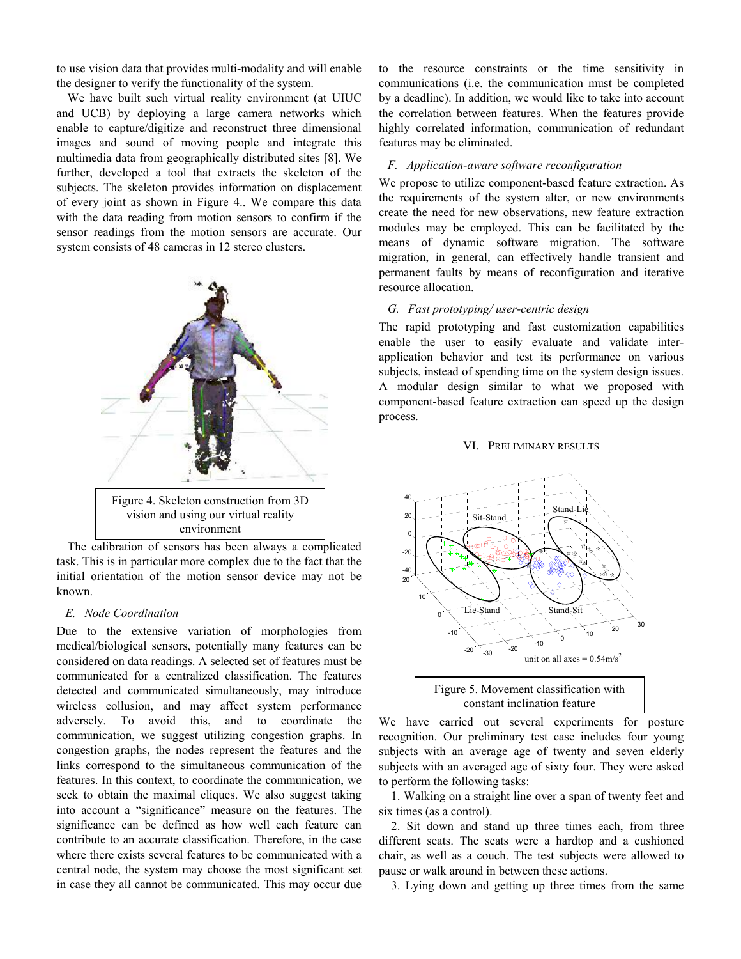to use vision data that provides multi-modality and will enable the designer to verify the functionality of the system.

We have built such virtual reality environment (at UIUC and UCB) by deploying a large camera networks which enable to capture/digitize and reconstruct three dimensional images and sound of moving people and integrate this multimedia data from geographically distributed sites [8]. We further, developed a tool that extracts the skeleton of the subjects. The skeleton provides information on displacement of every joint as shown in Figure 4.. We compare this data with the data reading from motion sensors to confirm if the sensor readings from the motion sensors are accurate. Our system consists of 48 cameras in 12 stereo clusters.



The calibration of sensors has been always a complicated task. This is in particular more complex due to the fact that the initial orientation of the motion sensor device may not be known.

#### *E. Node Coordination*

Due to the extensive variation of morphologies from medical/biological sensors, potentially many features can be considered on data readings. A selected set of features must be communicated for a centralized classification. The features detected and communicated simultaneously, may introduce wireless collusion, and may affect system performance adversely. To avoid this, and to coordinate the communication, we suggest utilizing congestion graphs. In congestion graphs, the nodes represent the features and the links correspond to the simultaneous communication of the features. In this context, to coordinate the communication, we seek to obtain the maximal cliques. We also suggest taking into account a "significance" measure on the features. The significance can be defined as how well each feature can contribute to an accurate classification. Therefore, in the case where there exists several features to be communicated with a central node, the system may choose the most significant set in case they all cannot be communicated. This may occur due to the resource constraints or the time sensitivity in communications (i.e. the communication must be completed by a deadline). In addition, we would like to take into account the correlation between features. When the features provide highly correlated information, communication of redundant features may be eliminated.

#### *F. Application-aware software reconfiguration*

We propose to utilize component-based feature extraction. As the requirements of the system alter, or new environments create the need for new observations, new feature extraction modules may be employed. This can be facilitated by the means of dynamic software migration. The software migration, in general, can effectively handle transient and permanent faults by means of reconfiguration and iterative resource allocation.

#### *G. Fast prototyping/ user-centric design*

The rapid prototyping and fast customization capabilities enable the user to easily evaluate and validate interapplication behavior and test its performance on various subjects, instead of spending time on the system design issues. A modular design similar to what we proposed with component-based feature extraction can speed up the design process.

#### VI. PRELIMINARY RESULTS





We have carried out several experiments for posture recognition. Our preliminary test case includes four young subjects with an average age of twenty and seven elderly subjects with an averaged age of sixty four. They were asked to perform the following tasks:

1. Walking on a straight line over a span of twenty feet and six times (as a control).

2. Sit down and stand up three times each, from three different seats. The seats were a hardtop and a cushioned chair, as well as a couch. The test subjects were allowed to pause or walk around in between these actions.

3. Lying down and getting up three times from the same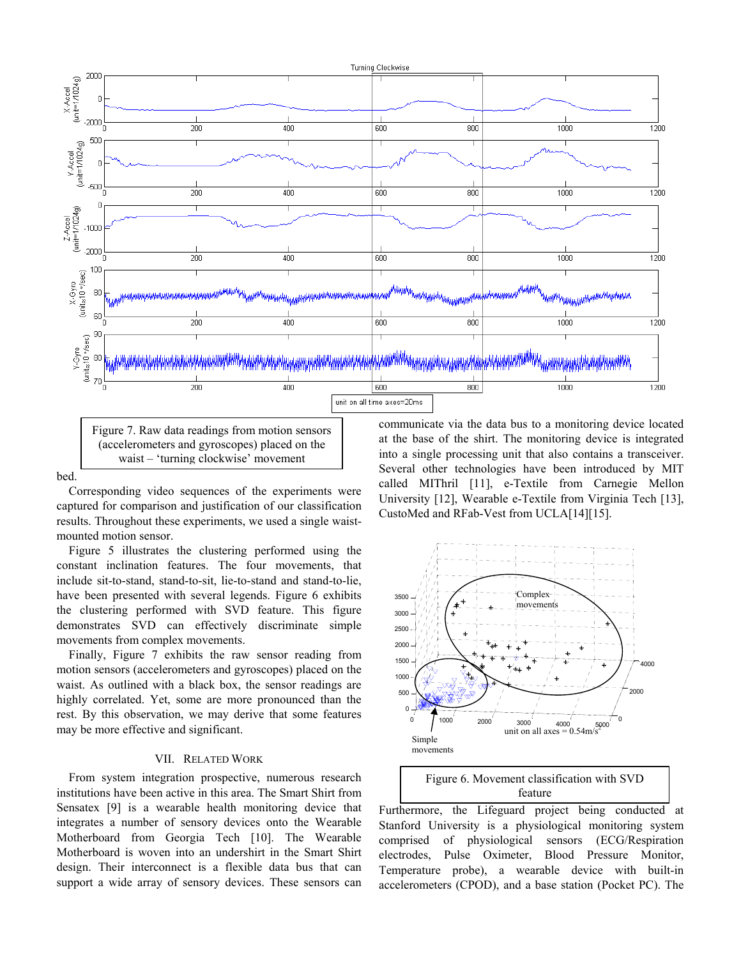

Figure 7. Raw data readings from motion sensors (accelerometers and gyroscopes) placed on the waist – 'turning clockwise' movement

bed.

Corresponding video sequences of the experiments were captured for comparison and justification of our classification results. Throughout these experiments, we used a single waistmounted motion sensor.

Figure 5 illustrates the clustering performed using the constant inclination features. The four movements, that include sit-to-stand, stand-to-sit, lie-to-stand and stand-to-lie, have been presented with several legends. Figure 6 exhibits the clustering performed with SVD feature. This figure demonstrates SVD can effectively discriminate simple movements from complex movements.

Finally, Figure 7 exhibits the raw sensor reading from motion sensors (accelerometers and gyroscopes) placed on the waist. As outlined with a black box, the sensor readings are highly correlated. Yet, some are more pronounced than the rest. By this observation, we may derive that some features may be more effective and significant.

## VII. RELATED WORK

From system integration prospective, numerous research institutions have been active in this area. The Smart Shirt from Sensatex [9] is a wearable health monitoring device that integrates a number of sensory devices onto the Wearable Motherboard from Georgia Tech [10]. The Wearable Motherboard is woven into an undershirt in the Smart Shirt design. Their interconnect is a flexible data bus that can support a wide array of sensory devices. These sensors can communicate via the data bus to a monitoring device located at the base of the shirt. The monitoring device is integrated into a single processing unit that also contains a transceiver. Several other technologies have been introduced by MIT called MIThril [11], e-Textile from Carnegie Mellon University [12], Wearable e-Textile from Virginia Tech [13], CustoMed and RFab-Vest from UCLA[14][15].



feature

Furthermore, the Lifeguard project being conducted at Stanford University is a physiological monitoring system comprised of physiological sensors (ECG/Respiration electrodes, Pulse Oximeter, Blood Pressure Monitor, Temperature probe), a wearable device with built-in accelerometers (CPOD), and a base station (Pocket PC). The